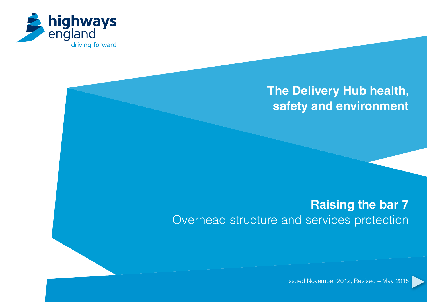

# **The Delivery Hub health, safety and environment**

# **Raising the bar 7** Overhead structure and services protection

Issued November 2012, Revised – May 2015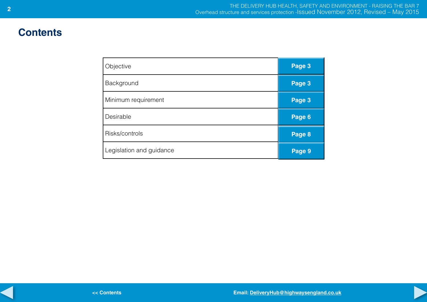# **Contents**

| Objective                | Page 3 |
|--------------------------|--------|
| Background               | Page 3 |
| Minimum requirement      | Page 3 |
| Desirable                | Page 6 |
| Risks/controls           | Page 8 |
| Legislation and guidance | Page 9 |

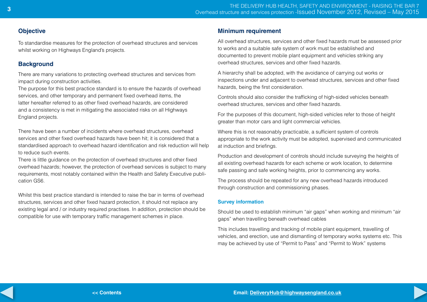# <span id="page-2-0"></span>**Objective**

To standardise measures for the protection of overhead structures and services whilst working on Highways England's projects.

# **Background**

There are many variations to protecting overhead structures and services from impact during construction activities.

The purpose for this best practice standard is to ensure the hazards of overhead services, and other temporary and permanent fixed overhead items, the latter hereafter referred to as other fixed overhead hazards, are considered and a consistency is met in mitigating the associated risks on all Highways England projects.

There have been a number of incidents where overhead structures, overhead services and other fixed overhead hazards have been hit; it is considered that a standardised approach to overhead hazard identification and risk reduction will help to reduce such events.

There is little guidance on the protection of overhead structures and other fixed overhead hazards; however, the protection of overhead services is subject to many requirements, most notably contained within the Health and Safety Executive publication GS6.

Whilst this best practice standard is intended to raise the bar in terms of overhead structures, services and other fixed hazard protection, it should not replace any existing legal and / or industry required practises. In addition, protection should be compatible for use with temporary traffic management schemes in place.

## **Minimum requirement**

All overhead structures, services and other fixed hazards must be assessed prior to works and a suitable safe system of work must be established and documented to prevent mobile plant equipment and vehicles striking any overhead structures, services and other fixed hazards.

A hierarchy shall be adopted, with the avoidance of carrying out works or inspections under and adjacent to overhead structures, services and other fixed hazards, being the first consideration.

Controls should also consider the trafficking of high-sided vehicles beneath overhead structures, services and other fixed hazards.

For the purposes of this document, high-sided vehicles refer to those of height greater than motor cars and light commercial vehicles.

Where this is not reasonably practicable, a sufficient system of controls appropriate to the work activity must be adopted, supervised and communicated at induction and briefings.

Production and development of controls should include surveying the heights of all existing overhead hazards for each scheme or work location, to determine safe passing and safe working heights, prior to commencing any works.

The process should be repeated for any new overhead hazards introduced through construction and commissioning phases.

#### **Survey information**

Should be used to establish minimum "air gaps" when working and minimum "air gaps" when travelling beneath overhead cables

This includes travelling and tracking of mobile plant equipment, travelling of vehicles, and erection, use and dismantling of temporary works systems etc. This may be achieved by use of "Permit to Pass" and "Permit to Work" systems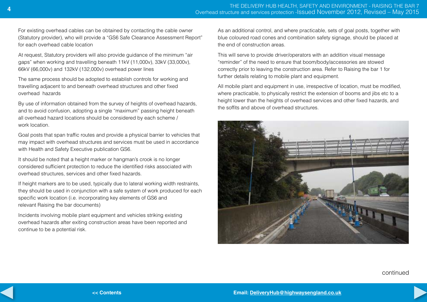For existing overhead cables can be obtained by contacting the cable owner (Statutory provider), who will provide a "GS6 Safe Clearance Assessment Report" for each overhead cable location

At request, Statutory providers will also provide guidance of the minimum "air gaps" when working and travelling beneath 11kV (11,000v), 33kV (33,000v), 66kV (66,000v) and 132kV (132,000v) overhead power lines

The same process should be adopted to establish controls for working and travelling adjacent to and beneath overhead structures and other fixed overhead hazards

By use of information obtained from the survey of heights of overhead hazards, and to avoid confusion, adopting a single "maximum" passing height beneath all overhead hazard locations should be considered by each scheme / work location.

Goal posts that span traffic routes and provide a physical barrier to vehicles that may impact with overhead structures and services must be used in accordance with Health and Safety Executive publication GS6.

It should be noted that a height marker or hangman's crook is no longer considered sufficient protection to reduce the identified risks associated with overhead structures, services and other fixed hazards.

If height markers are to be used, typically due to lateral working width restraints, they should be used in conjunction with a safe system of work produced for each specific work location (i.e. incorporating key elements of GS6 and relevant Raising the bar documents)

Incidents involving mobile plant equipment and vehicles striking existing overhead hazards after exiting construction areas have been reported and continue to be a potential risk.

As an additional control, and where practicable, sets of goal posts, together with blue coloured road cones and combination safety signage, should be placed at the end of construction areas.

This will serve to provide driver/operators with an addition visual message "reminder" of the need to ensure that boom/body/accessories are stowed correctly prior to leaving the construction area. Refer to Raising the bar 1 for further details relating to mobile plant and equipment.

All mobile plant and equipment in use, irrespective of location, must be modified, where practicable, to physically restrict the extension of booms and jibs etc to a height lower than the heights of overhead services and other fixed hazards, and the soffits and above of overhead structures.



continued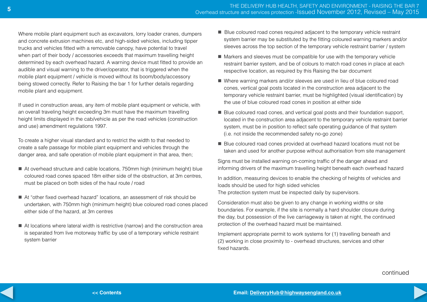Where mobile plant equipment such as excavators, lorry loader cranes, dumpers and concrete extrusion machines etc, and high-sided vehicles, including tipper trucks and vehicles fitted with a removable canopy, have potential to travel when part of their body / accessories exceeds that maximum travelling height determined by each overhead hazard. A warning device must fitted to provide an audible and visual warning to the driver/operator, that is triggered when the mobile plant equipment / vehicle is moved without its boom/body/accessory being stowed correctly. Refer to Raising the bar 1 for further details regarding mobile plant and equipment.

If used in construction areas, any item of mobile plant equipment or vehicle, with an overall traveling height exceeding 3m must have the maximum travelling height limits displayed in the cab/vehicle as per the road vehicles (construction and use) amendment regulations 1997.

To create a higher visual standard and to restrict the width to that needed to create a safe passage for mobile plant equipment and vehicles through the danger area, and safe operation of mobile plant equipment in that area, then;

- At overhead structure and cable locations, 750mm high (minimum height) blue coloured road cones spaced 18m either side of the obstruction, at 3m centres, must be placed on both sides of the haul route / road
- At "other fixed overhead hazard" locations, an assessment of risk should be undertaken, with 750mm high (minimum height) blue coloured road cones placed either side of the hazard, at 3m centres
- $\blacksquare$  At locations where lateral width is restrictive (narrow) and the construction area is separated from live motorway traffic by use of a temporary vehicle restraint system barrier
- Blue coloured road cones required adjacent to the temporary vehicle restraint system barrier may be substituted by the fitting coloured warning markers and/or sleeves across the top section of the temporary vehicle restraint barrier / system
- $\blacksquare$  Markers and sleeves must be compatible for use with the temporary vehicle restraint barrier system, and be of colours to match road cones in place at each respective location, as required by this Raising the bar document
- Where warning markers and/or sleeves are used in lieu of blue coloured road cones, vertical goal posts located in the construction area adjacent to the temporary vehicle restraint barrier, must be highlighted (visual identification) by the use of blue coloured road cones in position at either side
- $\blacksquare$  Blue coloured road cones, and vertical goal posts and their foundation support, located in the construction area adjacent to the temporary vehicle restraint barrier system, must be in position to reflect safe operating guidance of that system (i.e. not inside the recommended safety no-go zone)
- Blue coloured road cones provided at overhead hazard locations must not be taken and used for another purpose without authorisation from site management

Signs must be installed warning on-coming traffic of the danger ahead and informing drivers of the maximum travelling height beneath each overhead hazard

In addition, measuring devices to enable the checking of heights of vehicles and loads should be used for high sided vehicles The protection system must be inspected daily by supervisors.

Consideration must also be given to any change in working widths or site boundaries. For example, if the site is normally a hard shoulder closure during the day, but possession of the live carriageway is taken at night, the continued protection of the overhead hazard must be maintained.

Implement appropriate permit to work systems for (1) travelling beneath and (2) working in close proximity to - overhead structures, services and other fixed hazards.

continued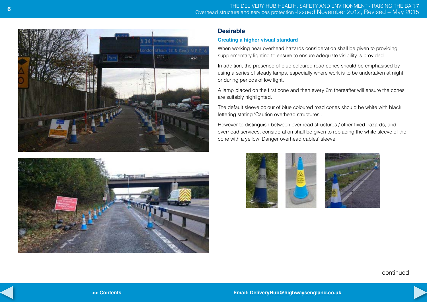<span id="page-5-0"></span>



### **Desirable**

### **Creating a higher visual standard**

When working near overhead hazards consideration shall be given to providing supplementary lighting to ensure to ensure adequate visibility is provided.

In addition, the presence of blue coloured road cones should be emphasised by using a series of steady lamps, especially where work is to be undertaken at night or during periods of low light.

A lamp placed on the first cone and then every 6m thereafter will ensure the cones are suitably highlighted.

The default sleeve colour of blue coloured road cones should be white with black lettering stating 'Caution overhead structures'.

However to distinguish between overhead structures / other fixed hazards, and overhead services, consideration shall be given to replacing the white sleeve of the cone with a yellow 'Danger overhead cables' sleeve.



continued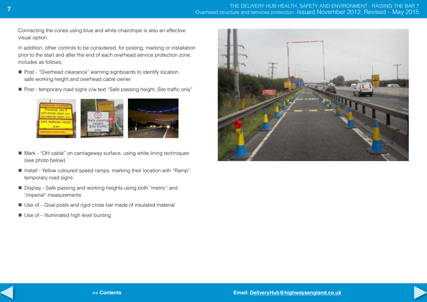Connecting the cones using blue and white chain/rope is also an effective visual option.

In addition, other controls to be considered, for posting, marking or installation prior to the start and after the end of each overhead service protection zone, includes as follows;

- Post "Overhead clearance" warning signboards to identify location, safe working height and overhead cable owner
- Post temporary road signs c/w text "Safe passing height, Site traffic only"



- Mark "OH cable" on carriageway surface, using white lining techniques (see photo below)
- Install Yellow coloured speed ramps, marking their location with "Ramp" temporary road signs
- $\blacksquare$  Display Safe passing and working heights using both "metric" and "imperial" measurements
- $\blacksquare$  Use of Goal posts and rigid cross bar made of insulated material
- $\blacksquare$  Use of Illuminated high level bunting

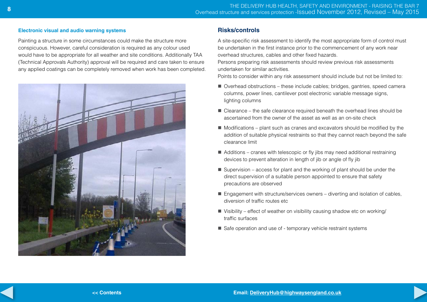#### **Electronic visual and audio warning systems**

Painting a structure in some circumstances could make the structure more conspicuous. However, careful consideration is required as any colour used would have to be appropriate for all weather and site conditions. Additionally TAA (Technical Approvals Authority) approval will be required and care taken to ensure any applied coatings can be completely removed when work has been completed.



# **Risks/controls**

A site-specific risk assessment to identify the most appropriate form of control must be undertaken in the first instance prior to the commencement of any work near overhead structures, cables and other fixed hazards.

Persons preparing risk assessments should review previous risk assessments undertaken for similar activities.

Points to consider within any risk assessment should include but not be limited to:

- $\blacksquare$  Overhead obstructions these include cables; bridges, gantries, speed camera columns, power lines, cantilever post electronic variable message signs, lighting columns
- $\blacksquare$  Clearance the safe clearance required beneath the overhead lines should be ascertained from the owner of the asset as well as an on-site check
- $\blacksquare$  Modifications plant such as cranes and excavators should be modified by the addition of suitable physical restraints so that they cannot reach beyond the safe clearance limit
- $\blacksquare$  Additions cranes with telescopic or fly jibs may need additional restraining devices to prevent alteration in length of jib or angle of fly jib
- $\blacksquare$  Supervision access for plant and the working of plant should be under the direct supervision of a suitable person appointed to ensure that safety precautions are observed
- $\blacksquare$  Engagement with structure/services owners diverting and isolation of cables, diversion of traffic routes etc
- $\blacksquare$  Visibility effect of weather on visibility causing shadow etc on working/ traffic surfaces
- $\blacksquare$  Safe operation and use of temporary vehicle restraint systems

<span id="page-7-0"></span>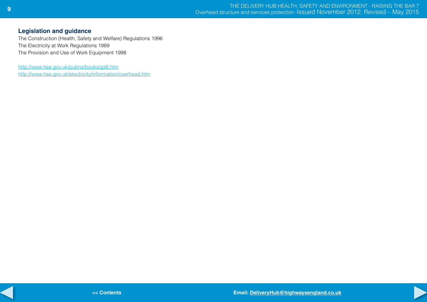# <span id="page-8-0"></span>**Legislation and guidance**

The Construction (Health, Safety and Welfare) Regulations 1996 The Electricity at Work Regulations 1989 The Provision and Use of Work Equipment 1998

[http://www.hse.gov.uk/pubns/books/gs6.htm](
http://www.hse.gov.uk/pubns/books/gs6.htm) <http://www.hse.gov.uk/electricity/information/overhead.htm>